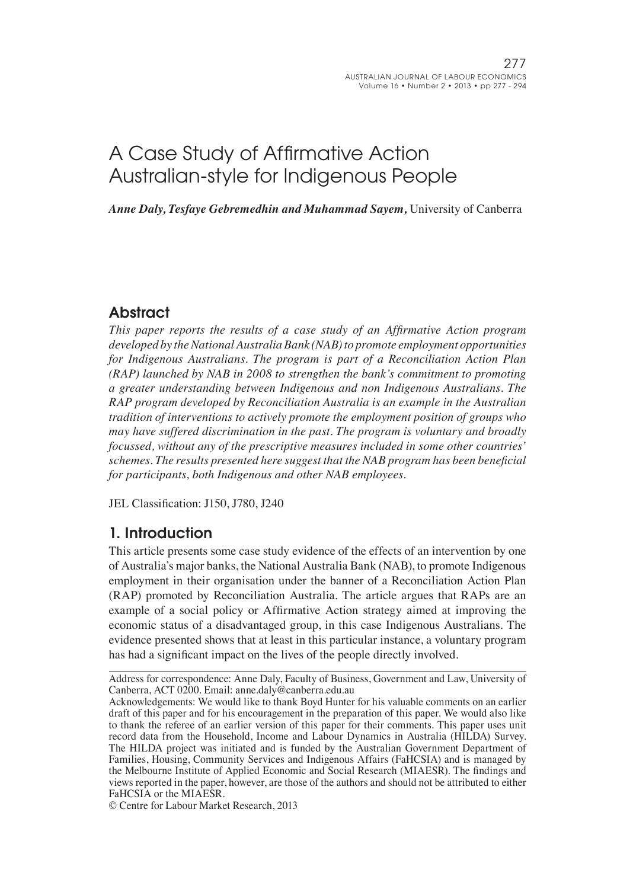# A Case Study of Affirmative Action Australian-style for Indigenous People

*Anne Daly, Tesfaye Gebremedhin and Muhammad Sayem,* University of Canberra

# **Abstract**

*This paper reports the results of a case study of an Affirmative Action program developed by the National Australia Bank (NAB) to promote employment opportunities for Indigenous Australians. The program is part of a Reconciliation Action Plan (RAP) launched by NAB in 2008 to strengthen the bank's commitment to promoting a greater understanding between Indigenous and non Indigenous Australians. The RAP program developed by Reconciliation Australia is an example in the Australian tradition of interventions to actively promote the employment position of groups who may have suffered discrimination in the past. The program is voluntary and broadly focussed, without any of the prescriptive measures included in some other countries' schemes. The results presented here suggest that the NAB program has been beneficial for participants, both Indigenous and other NAB employees.* 

JEL Classification: J150, J780, J240

### 1. Introduction

This article presents some case study evidence of the effects of an intervention by one of Australia's major banks, the National Australia Bank (NAB), to promote Indigenous employment in their organisation under the banner of a Reconciliation Action Plan (RAP) promoted by Reconciliation Australia. The article argues that RAPs are an example of a social policy or Affirmative Action strategy aimed at improving the economic status of a disadvantaged group, in this case Indigenous Australians. The evidence presented shows that at least in this particular instance, a voluntary program has had a significant impact on the lives of the people directly involved.

© Centre for Labour Market Research, 2013

Address for correspondence: Anne Daly, Faculty of Business, Government and Law, University of Canberra, ACT 0200. Email: anne.daly@canberra.edu.au

Acknowledgements: We would like to thank Boyd Hunter for his valuable comments on an earlier draft of this paper and for his encouragement in the preparation of this paper. We would also like to thank the referee of an earlier version of this paper for their comments. This paper uses unit record data from the Household, Income and Labour Dynamics in Australia (HILDA) Survey. The HILDA project was initiated and is funded by the Australian Government Department of Families, Housing, Community Services and Indigenous Affairs (FaHCSIA) and is managed by the Melbourne Institute of Applied Economic and Social Research (MIAESR). The findings and views reported in the paper, however, are those of the authors and should not be attributed to either FaHCSIA or the MIAESR.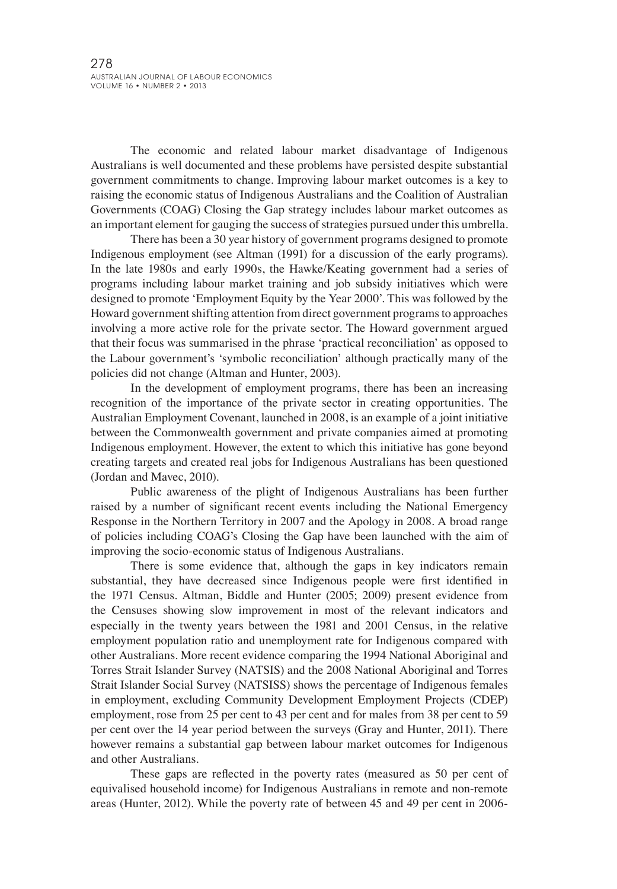The economic and related labour market disadvantage of Indigenous Australians is well documented and these problems have persisted despite substantial government commitments to change. Improving labour market outcomes is a key to raising the economic status of Indigenous Australians and the Coalition of Australian Governments (COAG) Closing the Gap strategy includes labour market outcomes as an important element for gauging the success of strategies pursued under this umbrella.

There has been a 30 year history of government programs designed to promote Indigenous employment (see Altman (1991) for a discussion of the early programs). In the late 1980s and early 1990s, the Hawke/Keating government had a series of programs including labour market training and job subsidy initiatives which were designed to promote 'Employment Equity by the Year 2000'. This was followed by the Howard governmentshifting attention from direct government programsto approaches involving a more active role for the private sector. The Howard government argued that their focus was summarised in the phrase 'practical reconciliation' as opposed to the Labour government's 'symbolic reconciliation' although practically many of the policies did not change (Altman and Hunter, 2003).

In the development of employment programs, there has been an increasing recognition of the importance of the private sector in creating opportunities. The Australian Employment Covenant, launched in 2008, is an example of a joint initiative between the Commonwealth government and private companies aimed at promoting Indigenous employment. However, the extent to which this initiative has gone beyond creating targets and created real jobs for Indigenous Australians has been questioned (Jordan and Mavec, 2010).

Public awareness of the plight of Indigenous Australians has been further raised by a number of significant recent events including the National Emergency Response in the Northern Territory in 2007 and the Apology in 2008. A broad range of policies including COAG's Closing the Gap have been launched with the aim of improving the socio-economic status of Indigenous Australians.

There is some evidence that, although the gaps in key indicators remain substantial, they have decreased since Indigenous people were first identified in the 1971 Census. Altman, Biddle and Hunter (2005; 2009) present evidence from the Censuses showing slow improvement in most of the relevant indicators and especially in the twenty years between the 1981 and 2001 Census, in the relative employment population ratio and unemployment rate for Indigenous compared with other Australians. More recent evidence comparing the 1994 National Aboriginal and Torres Strait Islander Survey (NATSIS) and the 2008 National Aboriginal and Torres Strait Islander Social Survey (NATSISS) shows the percentage of Indigenous females in employment, excluding Community Development Employment Projects (CDEP) employment, rose from 25 per cent to 43 per cent and for males from 38 per cent to 59 per cent over the 14 year period between the surveys (Gray and Hunter, 2011). There however remains a substantial gap between labour market outcomes for Indigenous and other Australians.

These gaps are reflected in the poverty rates (measured as 50 per cent of equivalised household income) for Indigenous Australians in remote and non-remote areas (Hunter, 2012). While the poverty rate of between 45 and 49 per cent in 2006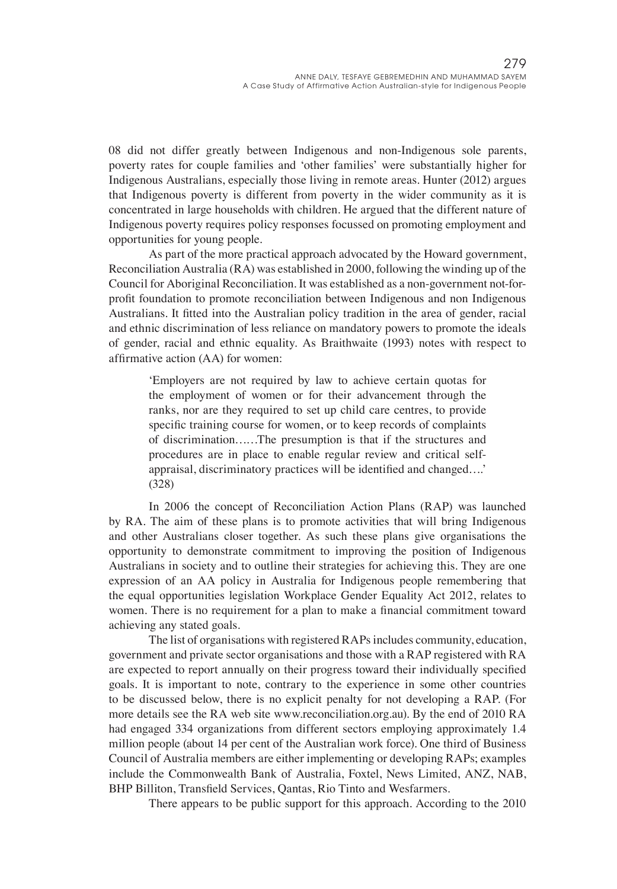08 did not differ greatly between Indigenous and non-Indigenous sole parents, poverty rates for couple families and 'other families' were substantially higher for Indigenous Australians, especially those living in remote areas. Hunter (2012) argues that Indigenous poverty is different from poverty in the wider community as it is concentrated in large households with children. He argued that the different nature of Indigenous poverty requires policy responses focussed on promoting employment and opportunities for young people.

As part of the more practical approach advocated by the Howard government, Reconciliation Australia (RA) was established in 2000, following the winding up of the Council for Aboriginal Reconciliation. It was established as a non-government not-forprofit foundation to promote reconciliation between Indigenous and non Indigenous Australians. It fitted into the Australian policy tradition in the area of gender, racial and ethnic discrimination of less reliance on mandatory powers to promote the ideals of gender, racial and ethnic equality. As Braithwaite (1993) notes with respect to affirmative action (AA) for women:

'Employers are not required by law to achieve certain quotas for the employment of women or for their advancement through the ranks, nor are they required to set up child care centres, to provide specific training course for women, or to keep records of complaints of discrimination……The presumption is that if the structures and procedures are in place to enable regular review and critical selfappraisal, discriminatory practices will be identified and changed….' (328)

In 2006 the concept of Reconciliation Action Plans (RAP) was launched by RA. The aim of these plans is to promote activities that will bring Indigenous and other Australians closer together. As such these plans give organisations the opportunity to demonstrate commitment to improving the position of Indigenous Australians in society and to outline their strategies for achieving this. They are one expression of an AA policy in Australia for Indigenous people remembering that the equal opportunities legislation Workplace Gender Equality Act 2012, relates to women. There is no requirement for a plan to make a financial commitment toward achieving any stated goals.

The list of organisations with registered RAPs includes community, education, government and private sector organisations and those with a RAP registered with RA are expected to report annually on their progress toward their individually specified goals. It is important to note, contrary to the experience in some other countries to be discussed below, there is no explicit penalty for not developing a RAP. (For more details see the RA web site www.reconciliation.org.au). By the end of 2010 RA had engaged 334 organizations from different sectors employing approximately 1.4 million people (about 14 per cent of the Australian work force). One third of Business Council of Australia members are either implementing or developing RAPs; examples include the Commonwealth Bank of Australia, Foxtel, News Limited, ANZ, NAB, BHP Billiton, Transfield Services, Qantas, Rio Tinto and Wesfarmers.

There appears to be public support for this approach. According to the 2010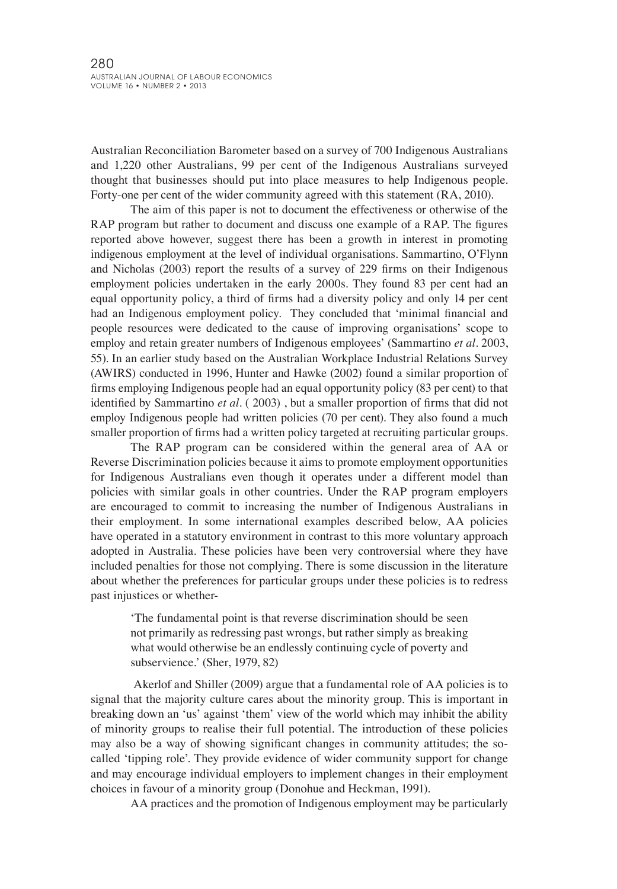Australian Reconciliation Barometer based on a survey of 700 Indigenous Australians and 1,220 other Australians, 99 per cent of the Indigenous Australians surveyed thought that businesses should put into place measures to help Indigenous people. Forty-one per cent of the wider community agreed with this statement (RA, 2010).

The aim of this paper is not to document the effectiveness or otherwise of the RAP program but rather to document and discuss one example of a RAP. The figures reported above however, suggest there has been a growth in interest in promoting indigenous employment at the level of individual organisations. Sammartino, O'Flynn and Nicholas (2003) report the results of a survey of 229 firms on their Indigenous employment policies undertaken in the early 2000s. They found 83 per cent had an equal opportunity policy, a third of firms had a diversity policy and only 14 per cent had an Indigenous employment policy. They concluded that 'minimal financial and people resources were dedicated to the cause of improving organisations' scope to employ and retain greater numbers of Indigenous employees' (Sammartino *et al*. 2003, 55). In an earlier study based on the Australian Workplace Industrial Relations Survey (AWIRS) conducted in 1996, Hunter and Hawke (2002) found a similar proportion of firms employing Indigenous people had an equal opportunity policy (83 per cent) to that identified by Sammartino *et al*. ( 2003) , but a smaller proportion of firms that did not employ Indigenous people had written policies (70 per cent). They also found a much smaller proportion of firms had a written policy targeted at recruiting particular groups.

The RAP program can be considered within the general area of AA or Reverse Discrimination policies because it aims to promote employment opportunities for Indigenous Australians even though it operates under a different model than policies with similar goals in other countries. Under the RAP program employers are encouraged to commit to increasing the number of Indigenous Australians in their employment. In some international examples described below, AA policies have operated in a statutory environment in contrast to this more voluntary approach adopted in Australia. These policies have been very controversial where they have included penalties for those not complying. There is some discussion in the literature about whether the preferences for particular groups under these policies is to redress past injustices or whether-

'The fundamental point is that reverse discrimination should be seen not primarily as redressing past wrongs, but rather simply as breaking what would otherwise be an endlessly continuing cycle of poverty and subservience.' (Sher, 1979, 82)

Akerlof and Shiller (2009) argue that a fundamental role of AA policies is to signal that the majority culture cares about the minority group. This is important in breaking down an 'us' against 'them' view of the world which may inhibit the ability of minority groups to realise their full potential. The introduction of these policies may also be a way of showing significant changes in community attitudes; the socalled 'tipping role'. They provide evidence of wider community support for change and may encourage individual employers to implement changes in their employment choices in favour of a minority group (Donohue and Heckman, 1991).

AA practices and the promotion of Indigenous employment may be particularly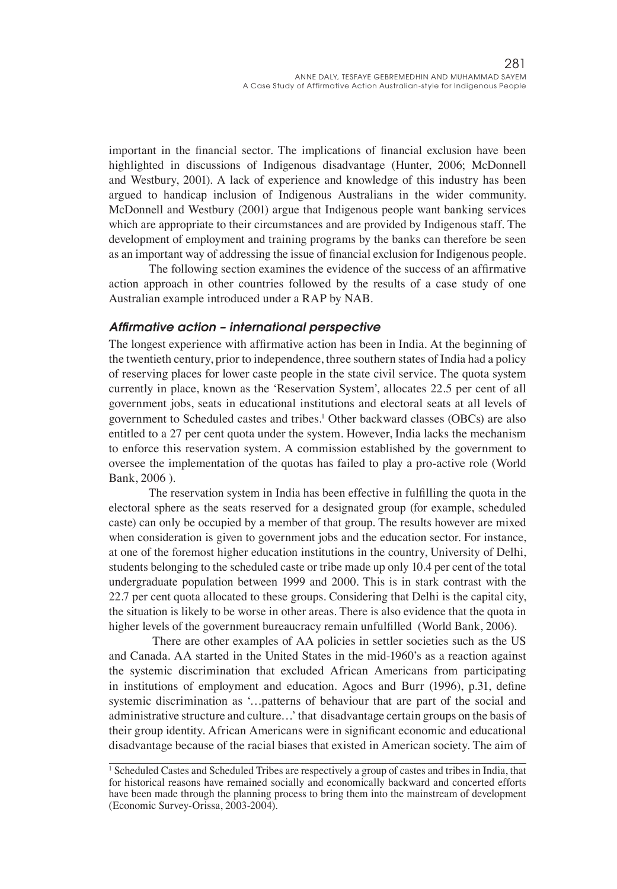important in the financial sector. The implications of financial exclusion have been highlighted in discussions of Indigenous disadvantage (Hunter, 2006; McDonnell and Westbury, 2001). A lack of experience and knowledge of this industry has been argued to handicap inclusion of Indigenous Australians in the wider community. McDonnell and Westbury (2001) argue that Indigenous people want banking services which are appropriate to their circumstances and are provided by Indigenous staff. The development of employment and training programs by the banks can therefore be seen as an important way of addressing the issue of financial exclusion for Indigenous people.

The following section examines the evidence of the success of an affirmative action approach in other countries followed by the results of a case study of one Australian example introduced under a RAP by NAB.

#### *Affirmative action – international perspective*

The longest experience with affirmative action has been in India. At the beginning of the twentieth century, prior to independence, three southern states of India had a policy of reserving places for lower caste people in the state civil service. The quota system currently in place, known as the 'Reservation System', allocates 22.5 per cent of all government jobs, seats in educational institutions and electoral seats at all levels of government to Scheduled castes and tribes.1 Other backward classes (OBCs) are also entitled to a 27 per cent quota under the system. However, India lacks the mechanism to enforce this reservation system. A commission established by the government to oversee the implementation of the quotas has failed to play a pro-active role (World Bank, 2006 ).

The reservation system in India has been effective in fulfilling the quota in the electoral sphere as the seats reserved for a designated group (for example, scheduled caste) can only be occupied by a member of that group. The results however are mixed when consideration is given to government jobs and the education sector. For instance, at one of the foremost higher education institutions in the country, University of Delhi, students belonging to the scheduled caste or tribe made up only 10.4 per cent of the total undergraduate population between 1999 and 2000. This is in stark contrast with the 22.7 per cent quota allocated to these groups. Considering that Delhi is the capital city, the situation is likely to be worse in other areas. There is also evidence that the quota in higher levels of the government bureaucracy remain unfulfilled (World Bank, 2006).

There are other examples of AA policies in settler societies such as the US and Canada. AA started in the United States in the mid-1960's as a reaction against the systemic discrimination that excluded African Americans from participating in institutions of employment and education. Agocs and Burr (1996), p.31, define systemic discrimination as '…patterns of behaviour that are part of the social and administrative structure and culture…' that disadvantage certain groups on the basis of their group identity. African Americans were in significant economic and educational disadvantage because of the racial biases that existed in American society. The aim of

<sup>1</sup> Scheduled Castes and Scheduled Tribes are respectively a group of castes and tribes in India, that for historical reasons have remained socially and economically backward and concerted efforts have been made through the planning process to bring them into the mainstream of development (Economic Survey-Orissa, 2003-2004).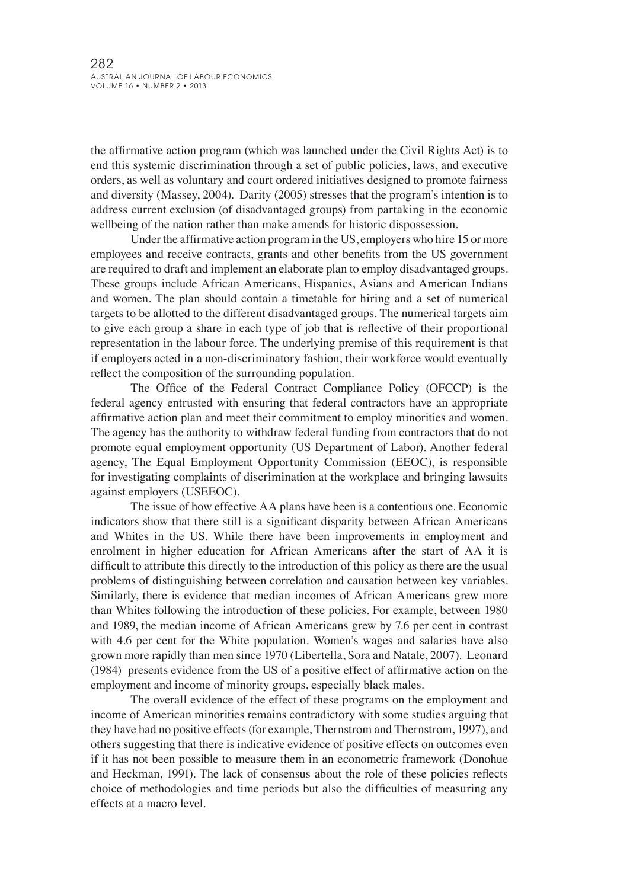the affirmative action program (which was launched under the Civil Rights Act) is to end this systemic discrimination through a set of public policies, laws, and executive orders, as well as voluntary and court ordered initiatives designed to promote fairness and diversity (Massey, 2004). Darity (2005) stresses that the program's intention is to address current exclusion (of disadvantaged groups) from partaking in the economic wellbeing of the nation rather than make amends for historic dispossession.

Under the affirmative action program in the US, employers who hire 15 or more employees and receive contracts, grants and other benefits from the US government are required to draft and implement an elaborate plan to employ disadvantaged groups. These groups include African Americans, Hispanics, Asians and American Indians and women. The plan should contain a timetable for hiring and a set of numerical targets to be allotted to the different disadvantaged groups. The numerical targets aim to give each group a share in each type of job that is reflective of their proportional representation in the labour force. The underlying premise of this requirement is that if employers acted in a non-discriminatory fashion, their workforce would eventually reflect the composition of the surrounding population.

The Office of the Federal Contract Compliance Policy (OFCCP) is the federal agency entrusted with ensuring that federal contractors have an appropriate affirmative action plan and meet their commitment to employ minorities and women. The agency has the authority to withdraw federal funding from contractors that do not promote equal employment opportunity (US Department of Labor). Another federal agency, The Equal Employment Opportunity Commission (EEOC), is responsible for investigating complaints of discrimination at the workplace and bringing lawsuits against employers (USEEOC).

The issue of how effective AA plans have been is a contentious one. Economic indicators show that there still is a significant disparity between African Americans and Whites in the US. While there have been improvements in employment and enrolment in higher education for African Americans after the start of AA it is difficult to attribute this directly to the introduction of this policy as there are the usual problems of distinguishing between correlation and causation between key variables. Similarly, there is evidence that median incomes of African Americans grew more than Whites following the introduction of these policies. For example, between 1980 and 1989, the median income of African Americans grew by 7.6 per cent in contrast with 4.6 per cent for the White population. Women's wages and salaries have also grown more rapidly than men since 1970 (Libertella, Sora and Natale, 2007). Leonard (1984) presents evidence from the US of a positive effect of affirmative action on the employment and income of minority groups, especially black males.

The overall evidence of the effect of these programs on the employment and income of American minorities remains contradictory with some studies arguing that they have had no positive effects (for example, Thernstrom and Thernstrom, 1997), and others suggesting that there is indicative evidence of positive effects on outcomes even if it has not been possible to measure them in an econometric framework (Donohue and Heckman, 1991). The lack of consensus about the role of these policies reflects choice of methodologies and time periods but also the difficulties of measuring any effects at a macro level.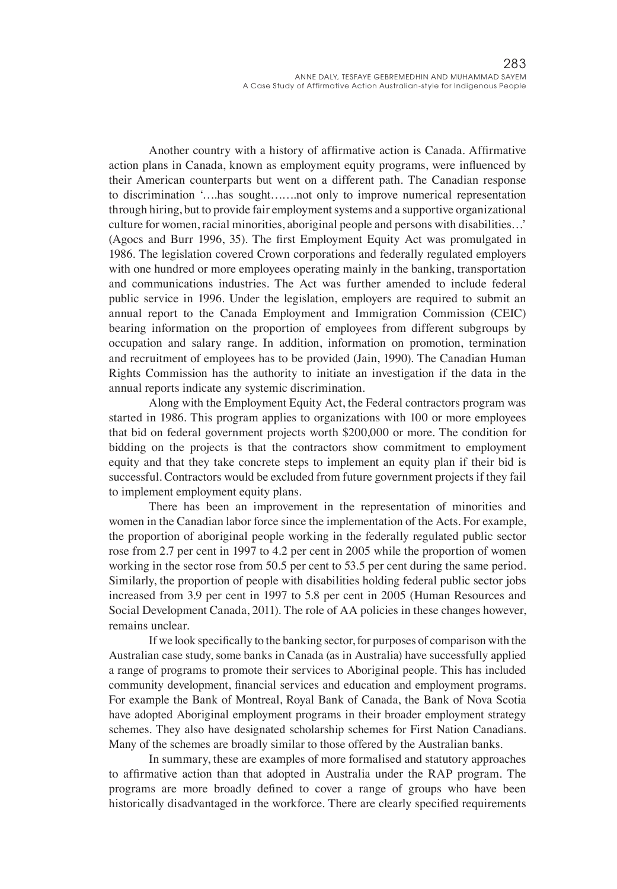Another country with a history of affirmative action is Canada. Affirmative action plans in Canada, known as employment equity programs, were influenced by their American counterparts but went on a different path. The Canadian response to discrimination '….has sought…….not only to improve numerical representation through hiring, but to provide fair employment systems and a supportive organizational culture for women, racial minorities, aboriginal people and persons with disabilities…' (Agocs and Burr 1996, 35). The first Employment Equity Act was promulgated in 1986. The legislation covered Crown corporations and federally regulated employers with one hundred or more employees operating mainly in the banking, transportation and communications industries. The Act was further amended to include federal public service in 1996. Under the legislation, employers are required to submit an annual report to the Canada Employment and Immigration Commission (CEIC) bearing information on the proportion of employees from different subgroups by occupation and salary range. In addition, information on promotion, termination and recruitment of employees has to be provided (Jain, 1990). The Canadian Human Rights Commission has the authority to initiate an investigation if the data in the annual reports indicate any systemic discrimination.

Along with the Employment Equity Act, the Federal contractors program was started in 1986. This program applies to organizations with 100 or more employees that bid on federal government projects worth \$200,000 or more. The condition for bidding on the projects is that the contractors show commitment to employment equity and that they take concrete steps to implement an equity plan if their bid is successful. Contractors would be excluded from future government projects if they fail to implement employment equity plans.

There has been an improvement in the representation of minorities and women in the Canadian labor force since the implementation of the Acts. For example, the proportion of aboriginal people working in the federally regulated public sector rose from 2.7 per cent in 1997 to 4.2 per cent in 2005 while the proportion of women working in the sector rose from 50.5 per cent to 53.5 per cent during the same period. Similarly, the proportion of people with disabilities holding federal public sector jobs increased from 3.9 per cent in 1997 to 5.8 per cent in 2005 (Human Resources and Social Development Canada, 2011). The role of AA policies in these changes however, remains unclear.

If we look specifically to the banking sector, for purposes of comparison with the Australian case study, some banks in Canada (as in Australia) have successfully applied a range of programs to promote their services to Aboriginal people. This has included community development, financial services and education and employment programs. For example the Bank of Montreal, Royal Bank of Canada, the Bank of Nova Scotia have adopted Aboriginal employment programs in their broader employment strategy schemes. They also have designated scholarship schemes for First Nation Canadians. Many of the schemes are broadly similar to those offered by the Australian banks.

In summary, these are examples of more formalised and statutory approaches to affirmative action than that adopted in Australia under the RAP program. The programs are more broadly defined to cover a range of groups who have been historically disadvantaged in the workforce. There are clearly specified requirements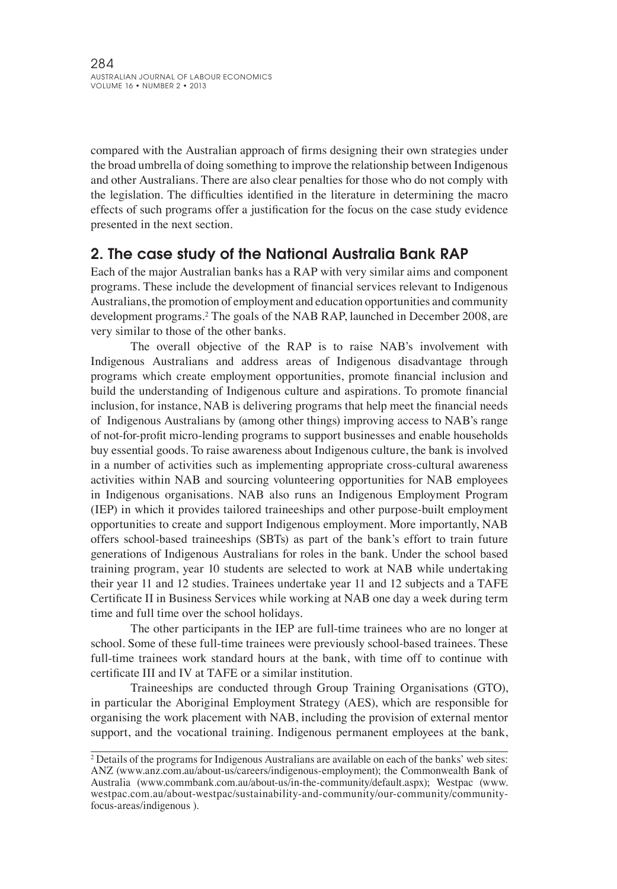compared with the Australian approach of firms designing their own strategies under the broad umbrella of doing something to improve the relationship between Indigenous and other Australians. There are also clear penalties for those who do not comply with the legislation. The difficulties identified in the literature in determining the macro effects of such programs offer a justification for the focus on the case study evidence presented in the next section.

# 2. The case study of the National Australia Bank RAP

Each of the major Australian banks has a RAP with very similar aims and component programs. These include the development of financial services relevant to Indigenous Australians, the promotion of employment and education opportunities and community development programs.2 The goals of the NAB RAP, launched in December 2008, are very similar to those of the other banks.

The overall objective of the RAP is to raise NAB's involvement with Indigenous Australians and address areas of Indigenous disadvantage through programs which create employment opportunities, promote financial inclusion and build the understanding of Indigenous culture and aspirations. To promote financial inclusion, for instance, NAB is delivering programs that help meet the financial needs of Indigenous Australians by (among other things) improving access to NAB's range of not-for-profit micro-lending programs to support businesses and enable households buy essential goods. To raise awareness about Indigenous culture, the bank is involved in a number of activities such as implementing appropriate cross-cultural awareness activities within NAB and sourcing volunteering opportunities for NAB employees in Indigenous organisations. NAB also runs an Indigenous Employment Program (IEP) in which it provides tailored traineeships and other purpose-built employment opportunities to create and support Indigenous employment. More importantly, NAB offers school-based traineeships (SBTs) as part of the bank's effort to train future generations of Indigenous Australians for roles in the bank. Under the school based training program, year 10 students are selected to work at NAB while undertaking their year 11 and 12 studies. Trainees undertake year 11 and 12 subjects and a TAFE Certificate II in Business Services while working at NAB one day a week during term time and full time over the school holidays.

The other participants in the IEP are full-time trainees who are no longer at school. Some of these full-time trainees were previously school-based trainees. These full-time trainees work standard hours at the bank, with time off to continue with certificate III and IV at TAFE or a similar institution.

Traineeships are conducted through Group Training Organisations (GTO), in particular the Aboriginal Employment Strategy (AES), which are responsible for organising the work placement with NAB, including the provision of external mentor support, and the vocational training. Indigenous permanent employees at the bank,

<sup>2</sup> Details of the programs for Indigenous Australians are available on each of the banks' web sites: ANZ (www.anz.com.au/about-us/careers/indigenous-employment); the Commonwealth Bank of Australia (www.commbank.com.au/about-us/in-the-community/default.aspx); Westpac (www. westpac.com.au/about-westpac/sustainability-and-community/our-community/communityfocus-areas/indigenous ).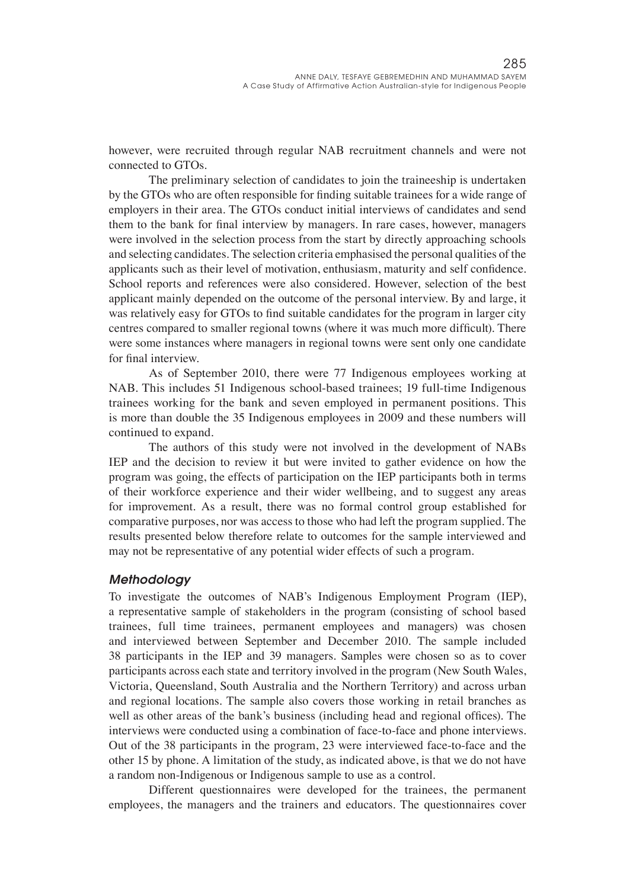however, were recruited through regular NAB recruitment channels and were not connected to GTOs.

The preliminary selection of candidates to join the traineeship is undertaken by the GTOs who are often responsible for finding suitable trainees for a wide range of employers in their area. The GTOs conduct initial interviews of candidates and send them to the bank for final interview by managers. In rare cases, however, managers were involved in the selection process from the start by directly approaching schools and selecting candidates. The selection criteria emphasised the personal qualities of the applicants such as their level of motivation, enthusiasm, maturity and self confidence. School reports and references were also considered. However, selection of the best applicant mainly depended on the outcome of the personal interview. By and large, it was relatively easy for GTOs to find suitable candidates for the program in larger city centres compared to smaller regional towns (where it was much more difficult). There were some instances where managers in regional towns were sent only one candidate for final interview.

As of September 2010, there were 77 Indigenous employees working at NAB. This includes 51 Indigenous school-based trainees; 19 full-time Indigenous trainees working for the bank and seven employed in permanent positions. This is more than double the 35 Indigenous employees in 2009 and these numbers will continued to expand.

The authors of this study were not involved in the development of NABs IEP and the decision to review it but were invited to gather evidence on how the program was going, the effects of participation on the IEP participants both in terms of their workforce experience and their wider wellbeing, and to suggest any areas for improvement. As a result, there was no formal control group established for comparative purposes, nor was access to those who had left the program supplied. The results presented below therefore relate to outcomes for the sample interviewed and may not be representative of any potential wider effects of such a program.

#### *Methodology*

To investigate the outcomes of NAB's Indigenous Employment Program (IEP), a representative sample of stakeholders in the program (consisting of school based trainees, full time trainees, permanent employees and managers) was chosen and interviewed between September and December 2010. The sample included 38 participants in the IEP and 39 managers. Samples were chosen so as to cover participants across each state and territory involved in the program (New South Wales, Victoria, Queensland, South Australia and the Northern Territory) and across urban and regional locations. The sample also covers those working in retail branches as well as other areas of the bank's business (including head and regional offices). The interviews were conducted using a combination of face-to-face and phone interviews. Out of the 38 participants in the program, 23 were interviewed face-to-face and the other 15 by phone. A limitation of the study, as indicated above, is that we do not have a random non-Indigenous or Indigenous sample to use as a control.

Different questionnaires were developed for the trainees, the permanent employees, the managers and the trainers and educators. The questionnaires cover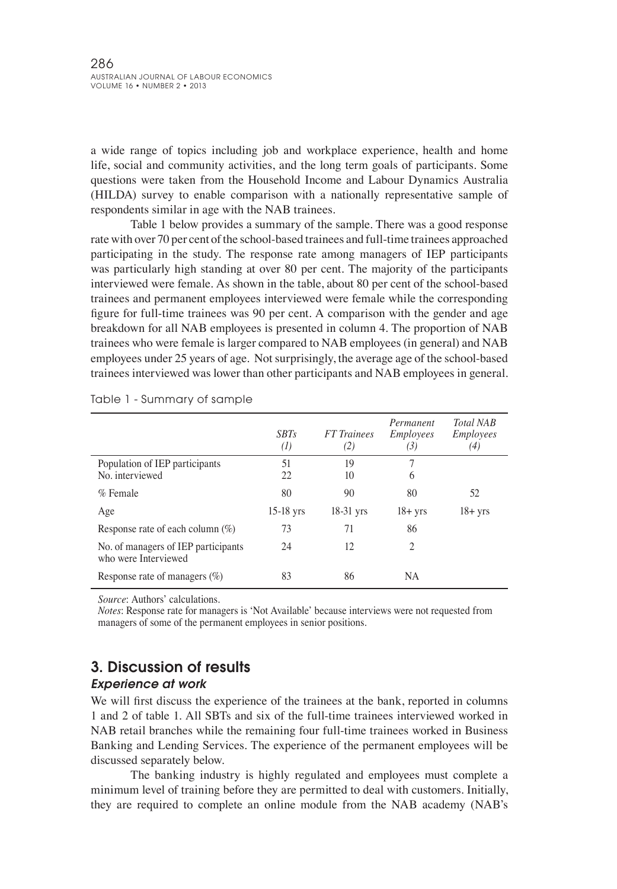a wide range of topics including job and workplace experience, health and home life, social and community activities, and the long term goals of participants. Some questions were taken from the Household Income and Labour Dynamics Australia (HILDA) survey to enable comparison with a nationally representative sample of respondents similar in age with the NAB trainees.

Table 1 below provides a summary of the sample. There was a good response rate with over 70 per cent of the school-based trainees and full-time trainees approached participating in the study. The response rate among managers of IEP participants was particularly high standing at over 80 per cent. The majority of the participants interviewed were female. As shown in the table, about 80 per cent of the school-based trainees and permanent employees interviewed were female while the corresponding figure for full-time trainees was 90 per cent. A comparison with the gender and age breakdown for all NAB employees is presented in column 4. The proportion of NAB trainees who were female is larger compared to NAB employees (in general) and NAB employees under 25 years of age. Not surprisingly, the average age of the school-based trainees interviewed was lower than other participants and NAB employees in general.

|                                                             | <b>SBTs</b><br>(I) | <b>FT</b> Trainees<br>(2) | Permanent<br><i>Employees</i><br>(3) | <b>Total NAB</b><br><i>Employees</i><br>(4) |
|-------------------------------------------------------------|--------------------|---------------------------|--------------------------------------|---------------------------------------------|
| Population of IEP participants<br>No. interviewed           | 51<br>22           | 19<br>10                  | 7<br>6                               |                                             |
| $%$ Female                                                  | 80                 | 90                        | 80                                   | 52                                          |
| Age                                                         | $15-18$ yrs        | $18-31$ yrs               | $18 + yrs$                           | $18 + yrs$                                  |
| Response rate of each column $(\%)$                         | 73                 | 71                        | 86                                   |                                             |
| No. of managers of IEP participants<br>who were Interviewed | 24                 | 12                        | 2                                    |                                             |
| Response rate of managers $(\%)$                            | 83                 | 86                        | <b>NA</b>                            |                                             |

Table 1 - Summary of sample

*Source*: Authors' calculations.

*Notes*: Response rate for managers is 'Not Available' because interviews were not requested from managers of some of the permanent employees in senior positions.

# 3. Discussion of results

#### *Experience at work*

We will first discuss the experience of the trainees at the bank, reported in columns 1 and 2 of table 1. All SBTs and six of the full-time trainees interviewed worked in NAB retail branches while the remaining four full-time trainees worked in Business Banking and Lending Services. The experience of the permanent employees will be discussed separately below.

The banking industry is highly regulated and employees must complete a minimum level of training before they are permitted to deal with customers. Initially, they are required to complete an online module from the NAB academy (NAB's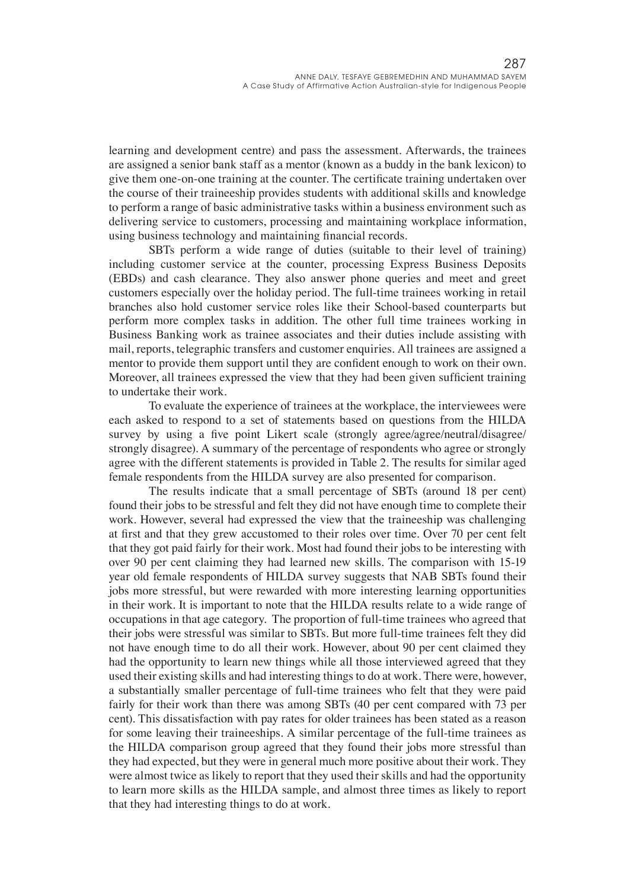learning and development centre) and pass the assessment. Afterwards, the trainees are assigned a senior bank staff as a mentor (known as a buddy in the bank lexicon) to give them one-on-one training at the counter. The certificate training undertaken over the course of their traineeship provides students with additional skills and knowledge to perform a range of basic administrative tasks within a business environment such as delivering service to customers, processing and maintaining workplace information, using business technology and maintaining financial records.

SBTs perform a wide range of duties (suitable to their level of training) including customer service at the counter, processing Express Business Deposits (EBDs) and cash clearance. They also answer phone queries and meet and greet customers especially over the holiday period. The full-time trainees working in retail branches also hold customer service roles like their School-based counterparts but perform more complex tasks in addition. The other full time trainees working in Business Banking work as trainee associates and their duties include assisting with mail, reports, telegraphic transfers and customer enquiries. All trainees are assigned a mentor to provide them support until they are confident enough to work on their own. Moreover, all trainees expressed the view that they had been given sufficient training to undertake their work.

To evaluate the experience of trainees at the workplace, the interviewees were each asked to respond to a set of statements based on questions from the HILDA survey by using a five point Likert scale (strongly agree/agree/neutral/disagree/ strongly disagree). A summary of the percentage of respondents who agree or strongly agree with the different statements is provided in Table 2. The results for similar aged female respondents from the HILDA survey are also presented for comparison.

The results indicate that a small percentage of SBTs (around 18 per cent) found their jobs to be stressful and felt they did not have enough time to complete their work. However, several had expressed the view that the traineeship was challenging at first and that they grew accustomed to their roles over time. Over 70 per cent felt that they got paid fairly for their work. Most had found their jobs to be interesting with over 90 per cent claiming they had learned new skills. The comparison with 15-19 year old female respondents of HILDA survey suggests that NAB SBTs found their jobs more stressful, but were rewarded with more interesting learning opportunities in their work. It is important to note that the HILDA results relate to a wide range of occupations in that age category. The proportion of full-time trainees who agreed that their jobs were stressful was similar to SBTs. But more full-time trainees felt they did not have enough time to do all their work. However, about 90 per cent claimed they had the opportunity to learn new things while all those interviewed agreed that they used their existing skills and had interesting things to do at work. There were, however, a substantially smaller percentage of full-time trainees who felt that they were paid fairly for their work than there was among SBTs (40 per cent compared with 73 per cent). This dissatisfaction with pay rates for older trainees has been stated as a reason for some leaving their traineeships. A similar percentage of the full-time trainees as the HILDA comparison group agreed that they found their jobs more stressful than they had expected, but they were in general much more positive about their work. They were almost twice as likely to report that they used their skills and had the opportunity to learn more skills as the HILDA sample, and almost three times as likely to report that they had interesting things to do at work.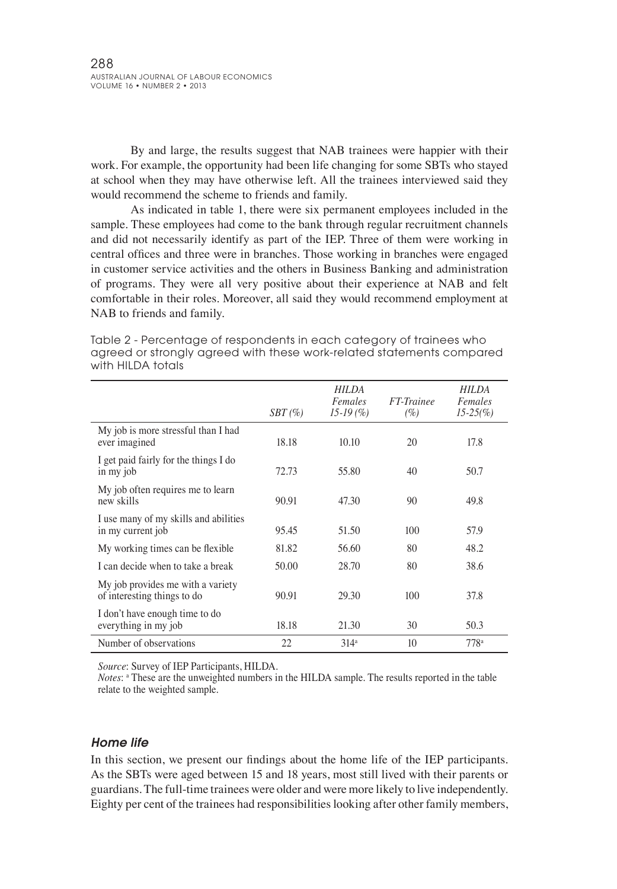By and large, the results suggest that NAB trainees were happier with their work. For example, the opportunity had been life changing for some SBTs who stayed at school when they may have otherwise left. All the trainees interviewed said they would recommend the scheme to friends and family.

As indicated in table 1, there were six permanent employees included in the sample. These employees had come to the bank through regular recruitment channels and did not necessarily identify as part of the IEP. Three of them were working in central offices and three were in branches. Those working in branches were engaged in customer service activities and the others in Business Banking and administration of programs. They were all very positive about their experience at NAB and felt comfortable in their roles. Moreover, all said they would recommend employment at NAB to friends and family.

|                                                                  | $SBT \, (\% )$ | HILDA<br>Females<br>$15-19(%)$ | FT-Trainee<br>(%) | HILDA<br>Females<br>$15-25\frac{6}{6}$ |
|------------------------------------------------------------------|----------------|--------------------------------|-------------------|----------------------------------------|
| My job is more stressful than I had<br>ever imagined             | 18.18          | 10.10                          | 20                | 17.8                                   |
| I get paid fairly for the things I do<br>in my job               | 72.73          | 55.80                          | 40                | 50.7                                   |
| My job often requires me to learn<br>new skills                  | 90.91          | 47.30                          | 90                | 49.8                                   |
| I use many of my skills and abilities<br>in my current job       | 95.45          | 51.50                          | 100               | 57.9                                   |
| My working times can be flexible.                                | 81.82          | 56.60                          | 80                | 48.2                                   |
| I can decide when to take a break                                | 50.00          | 28.70                          | 80                | 38.6                                   |
| My job provides me with a variety<br>of interesting things to do | 90.91          | 29.30                          | 100               | 37.8                                   |
| I don't have enough time to do<br>everything in my job           | 18.18          | 21.30                          | 30                | 50.3                                   |
| Number of observations                                           | 22             | $314^a$                        | 10 <sup>10</sup>  | 778 <sup>a</sup>                       |

Table 2 - Percentage of respondents in each category of trainees who agreed or strongly agreed with these work-related statements compared with HILDA totals

*Source*: Survey of IEP Participants, HILDA.

*Notes*: <sup>a</sup> These are the unweighted numbers in the HILDA sample. The results reported in the table relate to the weighted sample. 

#### *Home life*

In this section, we present our findings about the home life of the IEP participants. As the SBTs were aged between 15 and 18 years, most still lived with their parents or guardians. The full-time trainees were older and were more likely to live independently. Eighty per cent of the trainees had responsibilities looking after other family members,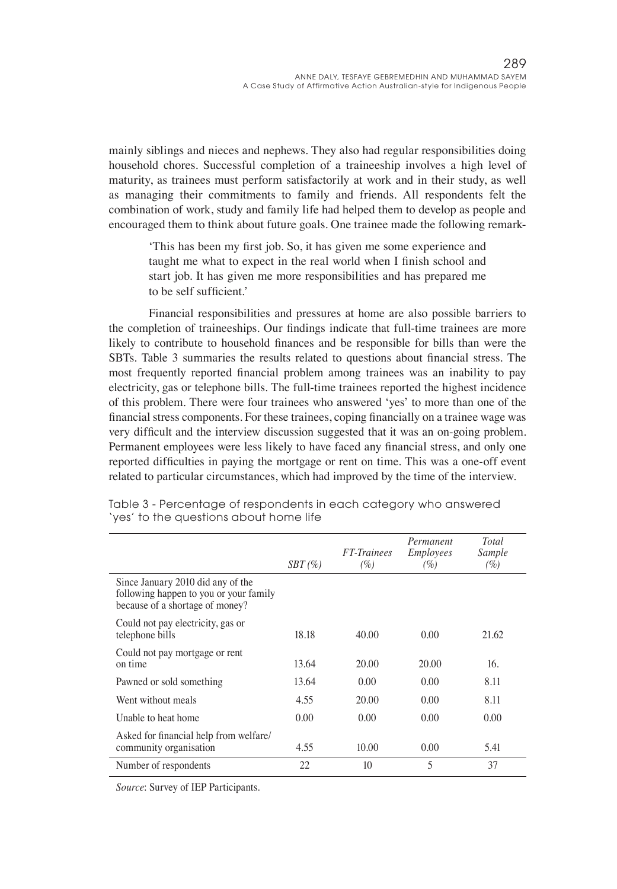mainly siblings and nieces and nephews. They also had regular responsibilities doing household chores. Successful completion of a traineeship involves a high level of maturity, as trainees must perform satisfactorily at work and in their study, as well as managing their commitments to family and friends. All respondents felt the combination of work, study and family life had helped them to develop as people and encouraged them to think about future goals. One trainee made the following remark-

'This has been my first job. So, it has given me some experience and taught me what to expect in the real world when I finish school and start job. It has given me more responsibilities and has prepared me to be self sufficient.'

Financial responsibilities and pressures at home are also possible barriers to the completion of traineeships. Our findings indicate that full-time trainees are more likely to contribute to household finances and be responsible for bills than were the SBTs. Table 3 summaries the results related to questions about financial stress. The most frequently reported financial problem among trainees was an inability to pay electricity, gas or telephone bills. The full-time trainees reported the highest incidence of this problem. There were four trainees who answered 'yes' to more than one of the financial stress components. For these trainees, coping financially on a trainee wage was very difficult and the interview discussion suggested that it was an on-going problem. Permanent employees were less likely to have faced any financial stress, and only one reported difficulties in paying the mortgage or rent on time. This was a one-off event related to particular circumstances, which had improved by the time of the interview.

|                                                                                                                | $SBT \, (\% )$ | <b>FT-Trainees</b><br>(%) | Permanent<br><i>Employees</i><br>(%) | <b>Total</b><br>Sample<br>(%) |
|----------------------------------------------------------------------------------------------------------------|----------------|---------------------------|--------------------------------------|-------------------------------|
| Since January 2010 did any of the<br>following happen to you or your family<br>because of a shortage of money? |                |                           |                                      |                               |
| Could not pay electricity, gas or<br>telephone bills                                                           | 18.18          | 40.00                     | 0.00                                 | 21.62                         |
| Could not pay mortgage or rent<br>on time                                                                      | 13.64          | 20.00                     | 20.00                                | 16.                           |
| Pawned or sold something                                                                                       | 13.64          | 0.00                      | 0.00                                 | 8.11                          |
| Went without meals                                                                                             | 4.55           | 20.00                     | 0.00                                 | 8.11                          |
| Unable to heat home                                                                                            | 0.00           | 0.00                      | 0.00                                 | 0.00                          |
| Asked for financial help from welfare/<br>community organisation                                               | 4.55           | 10.00                     | 0.00                                 | 5.41                          |
| Number of respondents                                                                                          | 22             | 10                        | 5                                    | 37                            |

Table 3 - Percentage of respondents in each category who answered 'yes' to the questions about home life

*Source*: Survey of IEP Participants.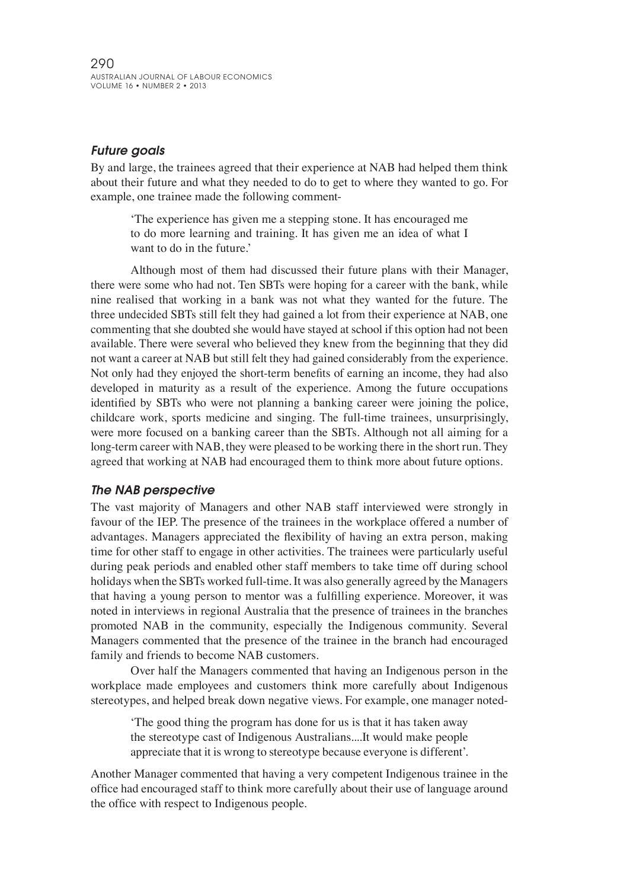### *Future goals*

By and large, the trainees agreed that their experience at NAB had helped them think about their future and what they needed to do to get to where they wanted to go. For example, one trainee made the following comment-

'The experience has given me a stepping stone. It has encouraged me to do more learning and training. It has given me an idea of what I want to do in the future.'

Although most of them had discussed their future plans with their Manager, there were some who had not. Ten SBTs were hoping for a career with the bank, while nine realised that working in a bank was not what they wanted for the future. The three undecided SBTs still felt they had gained a lot from their experience at NAB, one commenting that she doubted she would have stayed at school if this option had not been available. There were several who believed they knew from the beginning that they did not want a career at NAB but still felt they had gained considerably from the experience. Not only had they enjoyed the short-term benefits of earning an income, they had also developed in maturity as a result of the experience. Among the future occupations identified by SBTs who were not planning a banking career were joining the police, childcare work, sports medicine and singing. The full-time trainees, unsurprisingly, were more focused on a banking career than the SBTs. Although not all aiming for a long-term career with NAB, they were pleased to be working there in the short run. They agreed that working at NAB had encouraged them to think more about future options.

#### *The NAB perspective*

The vast majority of Managers and other NAB staff interviewed were strongly in favour of the IEP. The presence of the trainees in the workplace offered a number of advantages. Managers appreciated the flexibility of having an extra person, making time for other staff to engage in other activities. The trainees were particularly useful during peak periods and enabled other staff members to take time off during school holidays when the SBTs worked full-time. It was also generally agreed by the Managers that having a young person to mentor was a fulfilling experience. Moreover, it was noted in interviews in regional Australia that the presence of trainees in the branches promoted NAB in the community, especially the Indigenous community. Several Managers commented that the presence of the trainee in the branch had encouraged family and friends to become NAB customers.

Over half the Managers commented that having an Indigenous person in the workplace made employees and customers think more carefully about Indigenous stereotypes, and helped break down negative views. For example, one manager noted-

'The good thing the program has done for us is that it has taken away the stereotype cast of Indigenous Australians....It would make people appreciate that it is wrong to stereotype because everyone is different'.

Another Manager commented that having a very competent Indigenous trainee in the office had encouraged staff to think more carefully about their use of language around the office with respect to Indigenous people.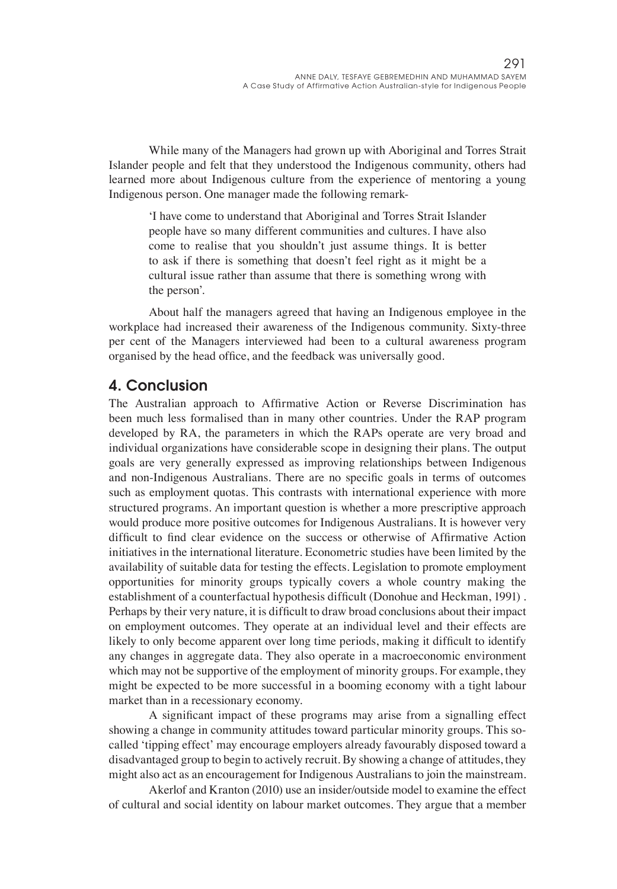While many of the Managers had grown up with Aboriginal and Torres Strait Islander people and felt that they understood the Indigenous community, others had learned more about Indigenous culture from the experience of mentoring a young Indigenous person. One manager made the following remark-

'I have come to understand that Aboriginal and Torres Strait Islander people have so many different communities and cultures. I have also come to realise that you shouldn't just assume things. It is better to ask if there is something that doesn't feel right as it might be a cultural issue rather than assume that there is something wrong with the person'.

About half the managers agreed that having an Indigenous employee in the workplace had increased their awareness of the Indigenous community. Sixty-three per cent of the Managers interviewed had been to a cultural awareness program organised by the head office, and the feedback was universally good.

### 4. Conclusion

The Australian approach to Affirmative Action or Reverse Discrimination has been much less formalised than in many other countries. Under the RAP program developed by RA, the parameters in which the RAPs operate are very broad and individual organizations have considerable scope in designing their plans. The output goals are very generally expressed as improving relationships between Indigenous and non-Indigenous Australians. There are no specific goals in terms of outcomes such as employment quotas. This contrasts with international experience with more structured programs. An important question is whether a more prescriptive approach would produce more positive outcomes for Indigenous Australians. It is however very difficult to find clear evidence on the success or otherwise of Affirmative Action initiatives in the international literature. Econometric studies have been limited by the availability of suitable data for testing the effects. Legislation to promote employment opportunities for minority groups typically covers a whole country making the establishment of a counterfactual hypothesis difficult (Donohue and Heckman, 1991) . Perhaps by their very nature, it is difficult to draw broad conclusions about their impact on employment outcomes. They operate at an individual level and their effects are likely to only become apparent over long time periods, making it difficult to identify any changes in aggregate data. They also operate in a macroeconomic environment which may not be supportive of the employment of minority groups. For example, they might be expected to be more successful in a booming economy with a tight labour market than in a recessionary economy.

A significant impact of these programs may arise from a signalling effect showing a change in community attitudes toward particular minority groups. This socalled 'tipping effect' may encourage employers already favourably disposed toward a disadvantaged group to begin to actively recruit. By showing a change of attitudes, they might also act as an encouragement for Indigenous Australians to join the mainstream.

Akerlof and Kranton (2010) use an insider/outside model to examine the effect of cultural and social identity on labour market outcomes. They argue that a member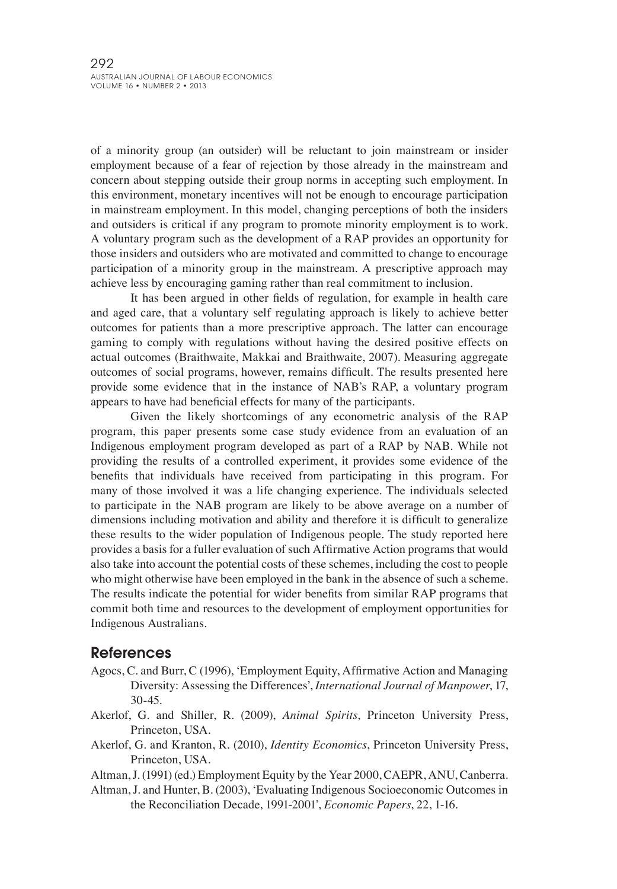of a minority group (an outsider) will be reluctant to join mainstream or insider employment because of a fear of rejection by those already in the mainstream and concern about stepping outside their group norms in accepting such employment. In this environment, monetary incentives will not be enough to encourage participation in mainstream employment. In this model, changing perceptions of both the insiders and outsiders is critical if any program to promote minority employment is to work. A voluntary program such as the development of a RAP provides an opportunity for those insiders and outsiders who are motivated and committed to change to encourage participation of a minority group in the mainstream. A prescriptive approach may achieve less by encouraging gaming rather than real commitment to inclusion.

It has been argued in other fields of regulation, for example in health care and aged care, that a voluntary self regulating approach is likely to achieve better outcomes for patients than a more prescriptive approach. The latter can encourage gaming to comply with regulations without having the desired positive effects on actual outcomes (Braithwaite, Makkai and Braithwaite, 2007). Measuring aggregate outcomes of social programs, however, remains difficult. The results presented here provide some evidence that in the instance of NAB's RAP, a voluntary program appears to have had beneficial effects for many of the participants.

Given the likely shortcomings of any econometric analysis of the RAP program, this paper presents some case study evidence from an evaluation of an Indigenous employment program developed as part of a RAP by NAB. While not providing the results of a controlled experiment, it provides some evidence of the benefits that individuals have received from participating in this program. For many of those involved it was a life changing experience. The individuals selected to participate in the NAB program are likely to be above average on a number of dimensions including motivation and ability and therefore it is difficult to generalize these results to the wider population of Indigenous people. The study reported here provides a basis for a fuller evaluation of such Affirmative Action programs that would also take into account the potential costs of these schemes, including the cost to people who might otherwise have been employed in the bank in the absence of such a scheme. The results indicate the potential for wider benefits from similar RAP programs that commit both time and resources to the development of employment opportunities for Indigenous Australians.

### References

- Agocs, C. and Burr, C (1996), 'Employment Equity, Affirmative Action and Managing Diversity: Assessing the Differences', *International Journal of Manpower*, 17, 30-45.
- Akerlof, G. and Shiller, R. (2009), *Animal Spirits*, Princeton University Press, Princeton, USA.
- Akerlof, G. and Kranton, R. (2010), *Identity Economics*, Princeton University Press, Princeton, USA.
- Altman,J. (1991) (ed.) Employment Equity by the Year 2000, CAEPR, ANU, Canberra.
- Altman, J. and Hunter, B. (2003), 'Evaluating Indigenous Socioeconomic Outcomes in the Reconciliation Decade, 1991-2001', *Economic Papers*, 22, 1-16.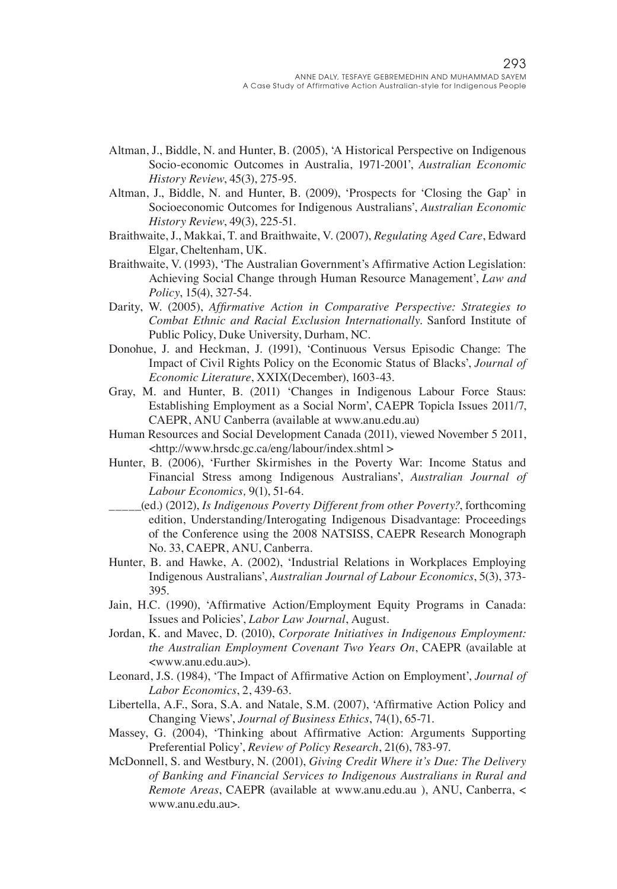- Altman, J., Biddle, N. and Hunter, B. (2005), 'A Historical Perspective on Indigenous Socio-economic Outcomes in Australia, 1971-2001', *Australian Economic History Review*, 45(3), 275-95.
- Altman, J., Biddle, N. and Hunter, B. (2009), 'Prospects for 'Closing the Gap' in Socioeconomic Outcomes for Indigenous Australians', *Australian Economic History Review*, 49(3), 225-51.
- Braithwaite, J., Makkai, T. and Braithwaite, V. (2007), *Regulating Aged Care*, Edward Elgar, Cheltenham, UK.
- Braithwaite, V. (1993), 'The Australian Government's Affirmative Action Legislation: Achieving Social Change through Human Resource Management', *Law and Policy*, 15(4), 327-54.
- Darity, W. (2005), *Affirmative Action in Comparative Perspective: Strategies to Combat Ethnic and Racial Exclusion Internationally*. Sanford Institute of Public Policy, Duke University, Durham, NC.
- Donohue, J. and Heckman, J. (1991), 'Continuous Versus Episodic Change: The Impact of Civil Rights Policy on the Economic Status of Blacks', *Journal of Economic Literature*, XXIX(December), 1603-43.
- Gray, M. and Hunter, B. (2011) 'Changes in Indigenous Labour Force Staus: Establishing Employment as a Social Norm', CAEPR Topicla Issues 2011/7, CAEPR, ANU Canberra (available at www.anu.edu.au)
- Human Resources and Social Development Canada (2011), viewed November 5 2011, <http://www.hrsdc.gc.ca/eng/labour/index.shtml >
- Hunter, B. (2006), 'Further Skirmishes in the Poverty War: Income Status and Financial Stress among Indigenous Australians', *Australian Journal of Labour Economics,* 9(1), 51-64.
- \_\_\_\_\_(ed.) (2012), *Is Indigenous Poverty Different from other Poverty?*, forthcoming edition, Understanding/Interogating Indigenous Disadvantage: Proceedings of the Conference using the 2008 NATSISS, CAEPR Research Monograph No. 33, CAEPR, ANU, Canberra.
- Hunter, B. and Hawke, A. (2002), 'Industrial Relations in Workplaces Employing Indigenous Australians', *Australian Journal of Labour Economics*, 5(3), 373- 395.
- Jain, H.C. (1990), 'Affirmative Action/Employment Equity Programs in Canada: Issues and Policies', *Labor Law Journal*, August.
- Jordan, K. and Mavec, D. (2010), *Corporate Initiatives in Indigenous Employment: the Australian Employment Covenant Two Years On*, CAEPR (available at <www.anu.edu.au>).
- Leonard, J.S. (1984), 'The Impact of Affirmative Action on Employment', *Journal of Labor Economics*, 2, 439-63.
- Libertella, A.F., Sora, S.A. and Natale, S.M. (2007), 'Affirmative Action Policy and Changing Views', *Journal of Business Ethics*, 74(1), 65-71.
- Massey, G. (2004), 'Thinking about Affirmative Action: Arguments Supporting Preferential Policy', *Review of Policy Research*, 21(6), 783-97.
- McDonnell, S. and Westbury, N. (2001), *Giving Credit Where it's Due: The Delivery of Banking and Financial Services to Indigenous Australians in Rural and Remote Areas*, CAEPR (available at www.anu.edu.au ), ANU, Canberra, < www.anu.edu.au>.